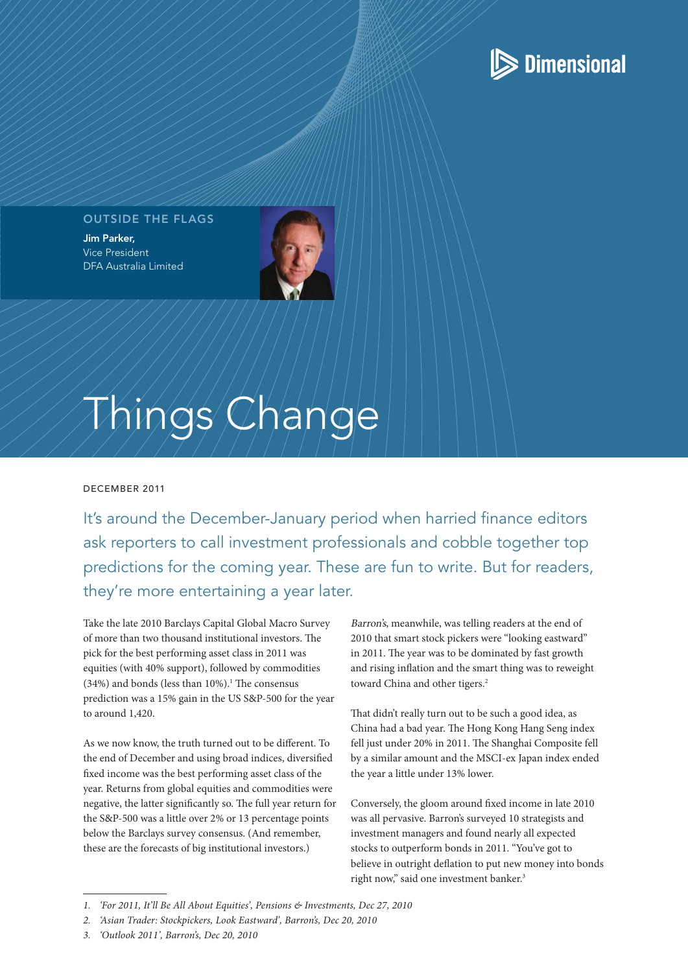## **S** Dimensional

#### OUTSIDE THE FLAGS

Jim Parker, Vice President DFA Australia Limited



# Things Change

#### december 2011

It's around the December-January period when harried finance editors ask reporters to call investment professionals and cobble together top predictions for the coming year. These are fun to write. But for readers, they're more entertaining a year later.

Take the late 2010 Barclays Capital Global Macro Survey of more than two thousand institutional investors. The pick for the best performing asset class in 2011 was equities (with 40% support), followed by commodities  $(34%)$  and bonds (less than 10%).<sup>1</sup> The consensus prediction was a 15% gain in the US S&P-500 for the year to around 1,420.

As we now know, the truth turned out to be different. To the end of December and using broad indices, diversified fixed income was the best performing asset class of the year. Returns from global equities and commodities were negative, the latter significantly so. The full year return for the S&P-500 was a little over 2% or 13 percentage points below the Barclays survey consensus. (And remember, these are the forecasts of big institutional investors.)

Barron's, meanwhile, was telling readers at the end of 2010 that smart stock pickers were "looking eastward" in 2011. The year was to be dominated by fast growth and rising inflation and the smart thing was to reweight toward China and other tigers.<sup>2</sup>

That didn't really turn out to be such a good idea, as China had a bad year. The Hong Kong Hang Seng index fell just under 20% in 2011. The Shanghai Composite fell by a similar amount and the MSCI-ex Japan index ended the year a little under 13% lower.

Conversely, the gloom around fixed income in late 2010 was all pervasive. Barron's surveyed 10 strategists and investment managers and found nearly all expected stocks to outperform bonds in 2011. "You've got to believe in outright deflation to put new money into bonds right now," said one investment banker.<sup>3</sup>

*<sup>1.</sup> 'For 2011, It'll Be All About Equities', Pensions & Investments, Dec 27, 2010*

*<sup>2.</sup> 'Asian Trader: Stockpickers, Look Eastward', Barron's, Dec 20, 2010*

*<sup>3.</sup> 'Outlook 2011', Barron's, Dec 20, 2010*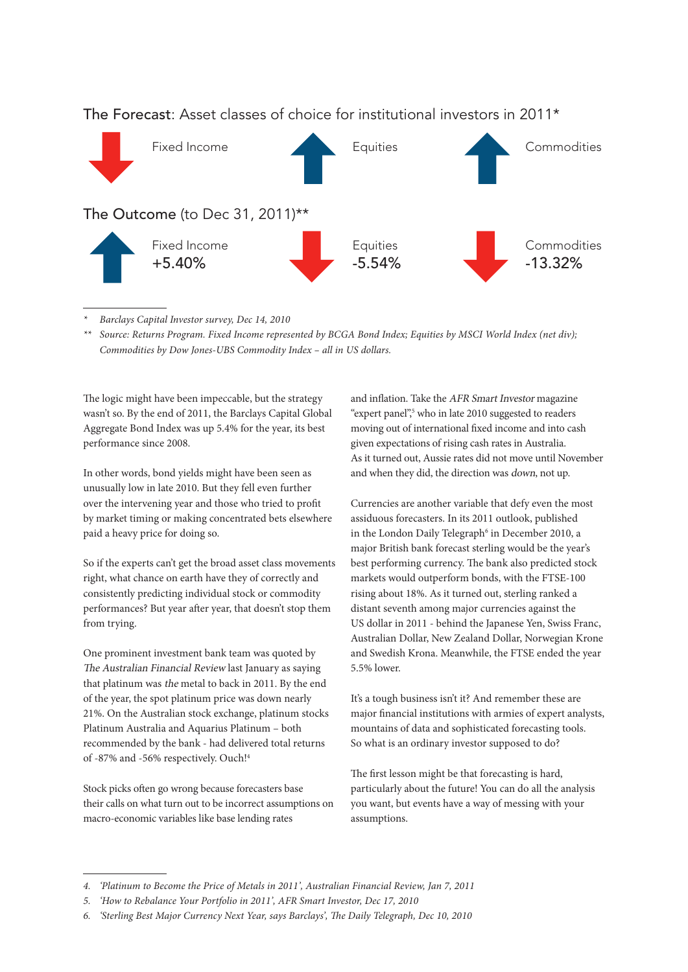

### The Forecast: Asset classes of choice for institutional investors in 2011\*

*\* Barclays Capital Investor survey, Dec 14, 2010*

*\*\* Source: Returns Program. Fixed Income represented by BCGA Bond Index; Equities by MSCI World Index (net div); Commodities by Dow Jones-UBS Commodity Index – all in US dollars.*

The logic might have been impeccable, but the strategy wasn't so. By the end of 2011, the Barclays Capital Global Aggregate Bond Index was up 5.4% for the year, its best performance since 2008.

In other words, bond yields might have been seen as unusually low in late 2010. But they fell even further over the intervening year and those who tried to profit by market timing or making concentrated bets elsewhere paid a heavy price for doing so.

So if the experts can't get the broad asset class movements right, what chance on earth have they of correctly and consistently predicting individual stock or commodity performances? But year after year, that doesn't stop them from trying.

One prominent investment bank team was quoted by The Australian Financial Review last January as saying that platinum was the metal to back in 2011. By the end of the year, the spot platinum price was down nearly 21%. On the Australian stock exchange, platinum stocks Platinum Australia and Aquarius Platinum – both recommended by the bank - had delivered total returns of -87% and -56% respectively. Ouch!4

Stock picks often go wrong because forecasters base their calls on what turn out to be incorrect assumptions on macro-economic variables like base lending rates

and inflation. Take the AFR Smart Investor magazine "expert panel",<sup>5</sup> who in late 2010 suggested to readers moving out of international fixed income and into cash given expectations of rising cash rates in Australia. As it turned out, Aussie rates did not move until November and when they did, the direction was down, not up.

Currencies are another variable that defy even the most assiduous forecasters. In its 2011 outlook, published in the London Daily Telegraph<sup>6</sup> in December 2010, a major British bank forecast sterling would be the year's best performing currency. The bank also predicted stock markets would outperform bonds, with the FTSE-100 rising about 18%. As it turned out, sterling ranked a distant seventh among major currencies against the US dollar in 2011 - behind the Japanese Yen, Swiss Franc, Australian Dollar, New Zealand Dollar, Norwegian Krone and Swedish Krona. Meanwhile, the FTSE ended the year 5.5% lower.

It's a tough business isn't it? And remember these are major financial institutions with armies of expert analysts, mountains of data and sophisticated forecasting tools. So what is an ordinary investor supposed to do?

The first lesson might be that forecasting is hard, particularly about the future! You can do all the analysis you want, but events have a way of messing with your assumptions.

*<sup>4.</sup> 'Platinum to Become the Price of Metals in 2011', Australian Financial Review, Jan 7, 2011*

*<sup>5.</sup> 'How to Rebalance Your Portfolio in 2011', AFR Smart Investor, Dec 17, 2010*

*<sup>6.</sup> 'Sterling Best Major Currency Next Year, says Barclays', The Daily Telegraph, Dec 10, 2010*